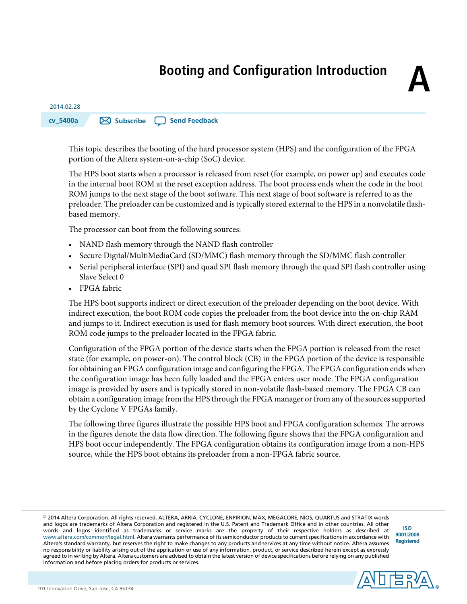# **Booting and Configuration Introduction**

## 2014.02.28 **cv\_5400a [Subscribe](https://www.altera.com/servlets/subscriptions/alert?id=cv_5400a) Send [Feedback](mailto:TechDocFeedback@altera.com?subject=Feedback%20on%20(cv_5400a%202014.02.28)%20Booting%20and%20Configuration%20Introduction&body=We%20appreciate%20your%20feedback.%20In%20your%20comments,%20also%20specify%20the%20page%20number%20or%20paragraph.%20Thank%20you.)**

This topic describes the booting of the hard processor system (HPS) and the configuration of the FPGA portion of the Altera system-on-a-chip (SoC) device.

The HPS boot starts when a processor is released from reset (for example, on power up) and executes code in the internal boot ROM at the reset exception address. The boot process ends when the code in the boot ROM jumps to the next stage of the boot software. This next stage of boot software is referred to as the preloader. The preloader can be customized and istypically stored external to the HPS in a nonvolatile flashbased memory.

The processor can boot from the following sources:

- NAND flash memory through the NAND flash controller
- Secure Digital/MultiMediaCard (SD/MMC) flash memory through the SD/MMC flash controller
- Serial peripheral interface (SPI) and quad SPI flash memory through the quad SPI flash controller using Slave Select 0
- FPGA fabric

The HPS boot supports indirect or direct execution of the preloader depending on the boot device. With indirect execution, the boot ROM code copies the preloader from the boot device into the on-chip RAM and jumps to it. Indirect execution is used for flash memory boot sources. With direct execution, the boot ROM code jumps to the preloader located in the FPGA fabric.

Configuration of the FPGA portion of the device starts when the FPGA portion is released from the reset state (for example, on power-on). The control block (CB) in the FPGA portion of the device is responsible for obtaining an FPGA configuration image and configuring the FPGA. The FPGA configuration ends when the configuration image has been fully loaded and the FPGA enters user mode. The FPGA configuration image is provided by users and is typically stored in non-volatile flash-based memory. The FPGA CB can obtain a configuration image from the HPS through the FPGA manager or from any of the sources supported by the Cyclone V FPGAs family.

The following three figures illustrate the possible HPS boot and FPGA configuration schemes. The arrows in the figures denote the data flow direction. The following figure shows that the FPGA configuration and HPS boot occur independently. The FPGA configuration obtains its configuration image from a non-HPS source, while the HPS boot obtains its preloader from a non-FPGA fabric source.

© 2014 Altera Corporation. All rights reserved. ALTERA, ARRIA, CYCLONE, ENPIRION, MAX, MEGACORE, NIOS, QUARTUS and STRATIX words and logos are trademarks of Altera Corporation and registered in the U.S. Patent and Trademark Office and in other countries. All other words and logos identified as trademarks or service marks are the property of their respective holders as described at www.altera.com/common/legal.html. Altera warrants performance of its semiconductor products to current specifications in accordance with Altera's standard warranty, but reserves the right to make changes to any products and services at any time without notice. Altera assumes no responsibility or liability arising out of the application or use of any information, product, or service described herein except as expressly agreed to in writing by Altera. Altera customers are advised to obtain the latest version of device specifications before relying on any published information and before placing orders for products or services.

**[ISO](http://www.altera.com/support/devices/reliability/certifications/rel-certifications.html) [9001:2008](http://www.altera.com/support/devices/reliability/certifications/rel-certifications.html) [Registered](http://www.altera.com/support/devices/reliability/certifications/rel-certifications.html)**

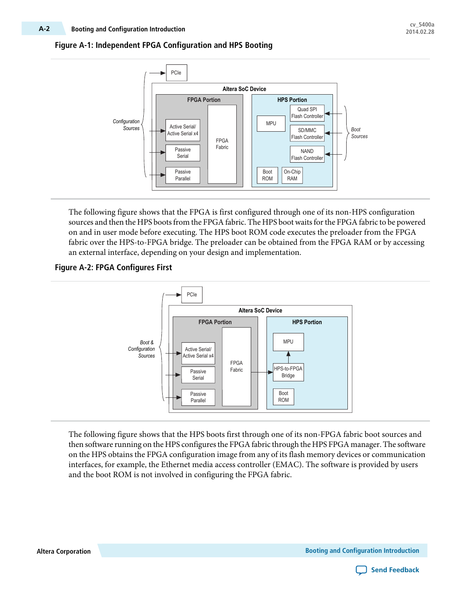### **Figure A-1: Independent FPGA Configuration and HPS Booting**



The following figure shows that the FPGA is first configured through one of its non-HPS configuration sources and then the HPS boots from the FPGA fabric. The HPS boot waits for the FPGA fabric to be powered on and in user mode before executing. The HPS boot ROM code executes the preloader from the FPGA fabric over the HPS-to-FPGA bridge. The preloader can be obtained from the FPGA RAM or by accessing an external interface, depending on your design and implementation.

### **Figure A-2: FPGA Configures First**



The following figure shows that the HPS boots first through one of its non-FPGA fabric boot sources and then software running on the HPS configures the FPGA fabric through the HPS FPGA manager. The software on the HPS obtains the FPGA configuration image from any of its flash memory devices or communication interfaces, for example, the Ethernet media access controller (EMAC). The software is provided by users and the boot ROM is not involved in configuring the FPGA fabric.

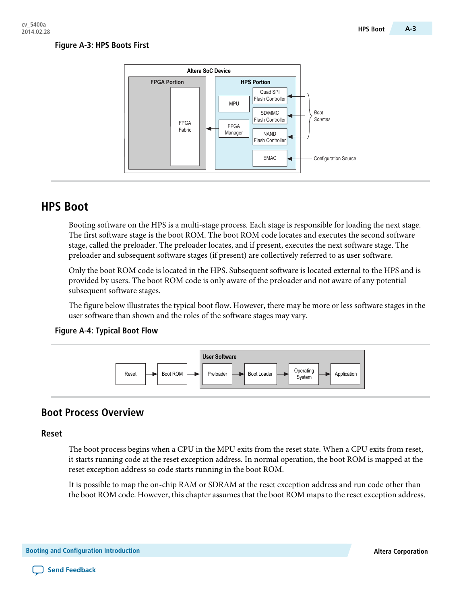#### **Figure A-3: HPS Boots First**



## **HPS Boot**

Booting software on the HPS is a multi-stage process. Each stage is responsible for loading the next stage. The first software stage is the boot ROM. The boot ROM code locates and executes the second software stage, called the preloader. The preloader locates, and if present, executes the next software stage. The preloader and subsequent software stages (if present) are collectively referred to as user software.

Only the boot ROM code is located in the HPS. Subsequent software is located external to the HPS and is provided by users. The boot ROM code is only aware of the preloader and not aware of any potential subsequent software stages.

The figure below illustrates the typical boot flow. However, there may be more or less software stages in the user software than shown and the roles of the software stages may vary.

#### **Figure A-4: Typical Boot Flow**



### **Boot Process Overview**

#### **Reset**

The boot process begins when a CPU in the MPU exits from the reset state. When a CPU exits from reset, it starts running code at the reset exception address. In normal operation, the boot ROM is mapped at the reset exception address so code starts running in the boot ROM.

It is possible to map the on-chip RAM or SDRAM at the reset exception address and run code other than the boot ROM code. However, this chapter assumes that the boot ROM maps to the reset exception address.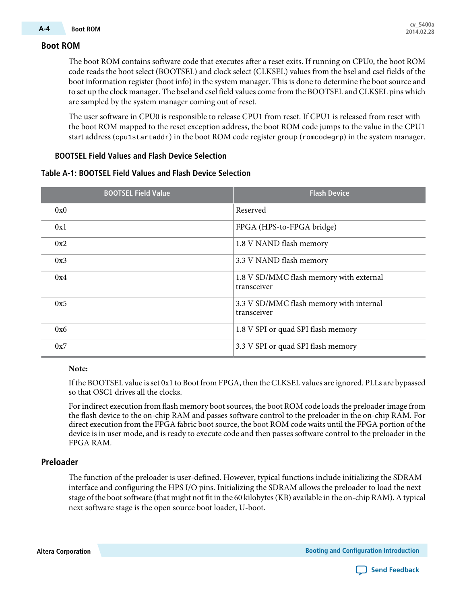The boot ROM contains software code that executes after a reset exits. If running on CPU0, the boot ROM code reads the boot select (BOOTSEL) and clock select (CLKSEL) values from the bsel and csel fields of the boot information register (boot info) in the system manager. This is done to determine the boot source and to set up the clock manager. The bsel and csel field values come from the BOOTSEL and CLKSEL pins which are sampled by the system manager coming out of reset.

The user software in CPU0 is responsible to release CPU1 from reset. If CPU1 is released from reset with the boot ROM mapped to the reset exception address, the boot ROM code jumps to the value in the CPU1 start address (cpu1startaddr) in the boot ROM code register group (romcodegrp) in the system manager.

#### **BOOTSEL Field Values and Flash Device Selection**

| Table A-1: BOOTSEL Field Values and Flash Device Selection |  |
|------------------------------------------------------------|--|
|------------------------------------------------------------|--|

| <b>BOOTSEL Field Value</b> | <b>Flash Device</b>                                    |
|----------------------------|--------------------------------------------------------|
| 0x0                        | Reserved                                               |
| 0x1                        | FPGA (HPS-to-FPGA bridge)                              |
| 0x2                        | 1.8 V NAND flash memory                                |
| 0x3                        | 3.3 V NAND flash memory                                |
| 0x4                        | 1.8 V SD/MMC flash memory with external<br>transceiver |
| 0x5                        | 3.3 V SD/MMC flash memory with internal<br>transceiver |
| 0x6                        | 1.8 V SPI or quad SPI flash memory                     |
| 0x7                        | 3.3 V SPI or quad SPI flash memory                     |

#### **Note:**

If the BOOTSEL value isset 0x1 to Boot from FPGA, then the CLKSEL values are ignored. PLLs are bypassed so that OSC1 drives all the clocks.

For indirect execution from flash memory boot sources, the boot ROM code loads the preloader image from the flash device to the on-chip RAM and passes software control to the preloader in the on-chip RAM. For direct execution from the FPGA fabric boot source, the boot ROM code waits until the FPGA portion of the device is in user mode, and is ready to execute code and then passes software control to the preloader in the FPGA RAM.

#### **Preloader**

The function of the preloader is user-defined. However, typical functions include initializing the SDRAM interface and configuring the HPS I/O pins. Initializing the SDRAM allows the preloader to load the next stage of the bootsoftware (that might not fit in the 60 kilobytes(KB) available in the on-chip RAM). A typical next software stage is the open source boot loader, U-boot.

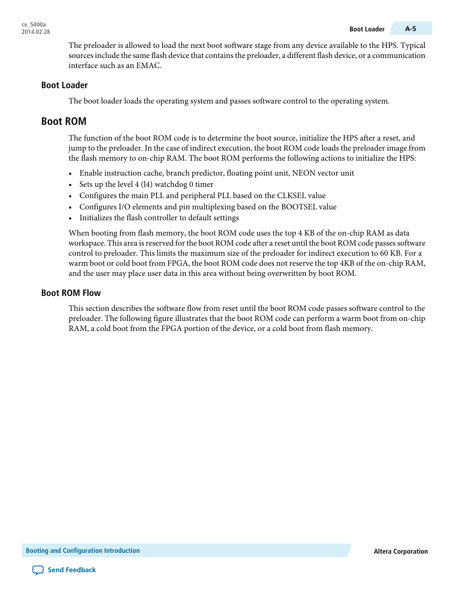The preloader is allowed to load the next boot software stage from any device available to the HPS. Typical sources include the same flash device that contains the preloader, a different flash device, or a communication interface such as an EMAC.

#### **Boot Loader**

The boot loader loads the operating system and passes software control to the operating system.

## **Boot ROM**

The function of the boot ROM code is to determine the boot source, initialize the HPS after a reset, and jump to the preloader. In the case of indirect execution, the boot ROM code loads the preloader image from the flash memory to on-chip RAM. The boot ROM performs the following actions to initialize the HPS:

- Enable instruction cache, branch predictor, floating point unit, NEON vector unit
- Sets up the level 4 (l4) watchdog 0 timer
- Configures the main PLL and peripheral PLL based on the CLKSEL value
- Configures I/O elements and pin multiplexing based on the BOOTSEL value
- Initializes the flash controller to default settings

When booting from flash memory, the boot ROM code uses the top 4 KB of the on-chip RAM as data workspace. This area is reserved for the boot ROM code after a reset until the boot ROM code passes software control to preloader. This limits the maximum size of the preloader for indirect execution to 60 KB. For a warm boot or cold boot from FPGA, the boot ROM code does not reserve the top 4KB of the on-chip RAM, and the user may place user data in this area without being overwritten by boot ROM.

#### **Boot ROM Flow**

This section describes the software flow from reset until the boot ROM code passes software control to the preloader. The following figure illustrates that the boot ROM code can perform a warm boot from on-chip RAM, a cold boot from the FPGA portion of the device, or a cold boot from flash memory.

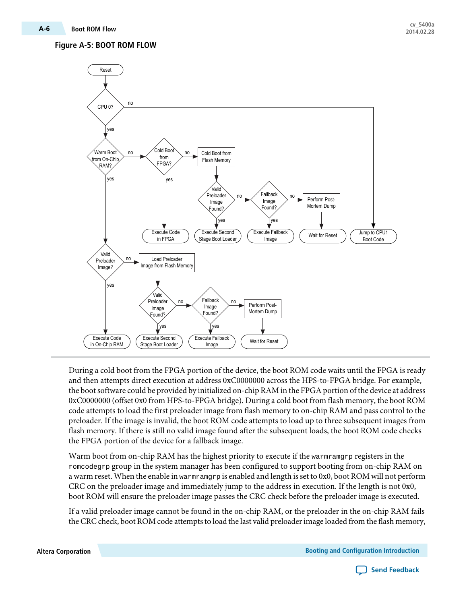### **Figure A-5: BOOT ROM FLOW**



During a cold boot from the FPGA portion of the device, the boot ROM code waits until the FPGA is ready and then attempts direct execution at address 0xC0000000 across the HPS-to-FPGA bridge. For example, the boot software could be provided by initialized on-chip RAM in the FPGA portion of the device at address 0xC0000000 (offset 0x0 from HPS-to-FPGA bridge). During a cold boot from flash memory, the boot ROM code attempts to load the first preloader image from flash memory to on-chip RAM and pass control to the preloader. If the image is invalid, the boot ROM code attempts to load up to three subsequent images from flash memory. If there is still no valid image found after the subsequent loads, the boot ROM code checks the FPGA portion of the device for a fallback image.

Warm boot from on-chip RAM has the highest priority to execute if the warmramgrp registers in the romcodegrp group in the system manager has been configured to support booting from on-chip RAM on a warm reset. When the enable in warmramgrp is enabled and length is set to 0x0, boot ROM will not perform CRC on the preloader image and immediately jump to the address in execution. If the length is not 0x0, boot ROM will ensure the preloader image passes the CRC check before the preloader image is executed.

If a valid preloader image cannot be found in the on-chip RAM, or the preloader in the on-chip RAM fails the CRC check, boot ROM code attempts to load the last valid preloader image loaded from the flash memory,

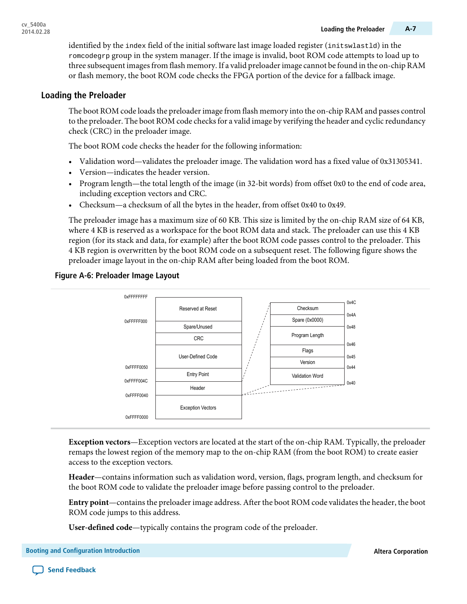identified by the index field of the initial software last image loaded register (initswlastld) in the romcodegrp group in the system manager. If the image is invalid, boot ROM code attempts to load up to three subsequent imagesfrom flash memory.If a valid preloaderimage cannot be found in the on-chip RAM or flash memory, the boot ROM code checks the FPGA portion of the device for a fallback image.

#### **Loading the Preloader**

The boot ROM code loads the preloader image from flash memory into the on-chip RAM and passes control to the preloader. The boot ROM code checks for a valid image by verifying the header and cyclic redundancy check (CRC) in the preloader image.

The boot ROM code checks the header for the following information:

- Validation word—validates the preloader image. The validation word has a fixed value of 0x31305341.
- Version—indicates the header version.
- Program length—the total length of the image (in 32-bit words) from offset 0x0 to the end of code area, including exception vectors and CRC.
- Checksum—a checksum of all the bytes in the header, from offset 0x40 to 0x49.

The preloader image has a maximum size of 60 KB. This size is limited by the on-chip RAM size of 64 KB, where 4 KB is reserved as a workspace for the boot ROM data and stack. The preloader can use this 4 KB region (for its stack and data, for example) after the boot ROM code passes control to the preloader. This 4 KB region is overwritten by the boot ROM code on a subsequent reset. The following figure shows the preloader image layout in the on-chip RAM after being loaded from the boot ROM.

#### **Figure A-6: Preloader Image Layout**



**Exception vectors**—Exception vectors are located at the start of the on-chip RAM. Typically, the preloader remaps the lowest region of the memory map to the on-chip RAM (from the boot ROM) to create easier access to the exception vectors.

**Header**—contains information such as validation word, version, flags, program length, and checksum for the boot ROM code to validate the preloader image before passing control to the preloader.

**Entry point**—containsthe preloaderimage address. Afterthe boot ROM code validatesthe header, the boot ROM code jumps to this address.

**User-defined code**—typically contains the program code of the preloader.

**Send [Feedback](mailto:TechDocFeedback@altera.com?subject=Feedback%20on%20Booting%20and%20Configuration%20Introduction%20(cv_5400a%202014.02.28)&body=We%20appreciate%20your%20feedback.%20In%20your%20comments,%20also%20specify%20the%20page%20number%20or%20paragraph.%20Thank%20you.)**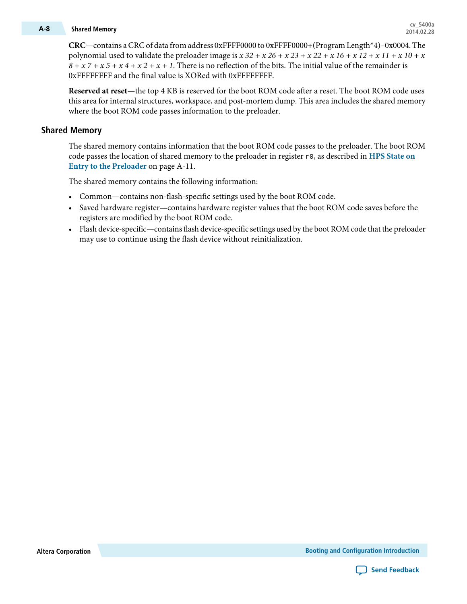## **cv\_5400a A-8 Shared Memory 2014.02.28**

**CRC**—contains aCRCof data from address 0xFFFF0000 to 0xFFFF0000+(Program Length\*4)–0x0004. The polynomial used to validate the preloader image is  $x 32 + x 26 + x 23 + x 22 + x 16 + x 12 + x 11 + x 10 + x$  $8 + x^7 + x^5 + x^4 + x^2 + x + 1$ . There is no reflection of the bits. The initial value of the remainder is 0xFFFFFFFF and the final value is XORed with 0xFFFFFFFF.

**Reserved at reset**—the top 4 KB is reserved for the boot ROM code after a reset. The boot ROM code uses this area for internal structures, workspace, and post-mortem dump. This area includes the shared memory where the boot ROM code passes information to the preloader.

#### **Shared Memory**

The shared memory contains information that the boot ROM code passes to the preloader. The boot ROM code passes the location of shared memory to the preloader in register r0, as described in **HPS [State](#page-10-0) on Entry to the [Preloader](#page-10-0)** on page A-11.

The shared memory contains the following information:

- Common—contains non-flash-specific settings used by the boot ROM code.
- Saved hardware register—contains hardware register values that the boot ROM code saves before the registers are modified by the boot ROM code.
- Flash device-specific—containsflash device-specific settings used by the boot ROM code that the preloader may use to continue using the flash device without reinitialization.

**Altera Corporation Booting and Configuration Introduction**

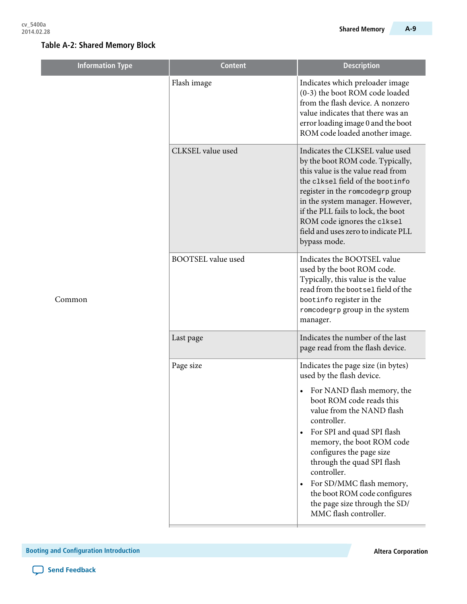ı

| <b>Information Type</b> | <b>Content</b>            | <b>Description</b>                                                                                                                                                                                                                                                                                                                                                                                  |
|-------------------------|---------------------------|-----------------------------------------------------------------------------------------------------------------------------------------------------------------------------------------------------------------------------------------------------------------------------------------------------------------------------------------------------------------------------------------------------|
| Common                  | Flash image               | Indicates which preloader image<br>(0-3) the boot ROM code loaded<br>from the flash device. A nonzero<br>value indicates that there was an<br>error loading image 0 and the boot<br>ROM code loaded another image.                                                                                                                                                                                  |
|                         | CLKSEL value used         | Indicates the CLKSEL value used<br>by the boot ROM code. Typically,<br>this value is the value read from<br>the clksel field of the bootinfo<br>register in the romcodegrp group<br>in the system manager. However,<br>if the PLL fails to lock, the boot<br>ROM code ignores the clksel<br>field and uses zero to indicate PLL<br>bypass mode.                                                     |
|                         | <b>BOOTSEL</b> value used | Indicates the BOOTSEL value<br>used by the boot ROM code.<br>Typically, this value is the value<br>read from the bootsel field of the<br>bootinfo register in the<br>romcodegrp group in the system<br>manager.                                                                                                                                                                                     |
|                         | Last page                 | Indicates the number of the last<br>page read from the flash device.                                                                                                                                                                                                                                                                                                                                |
|                         | Page size                 | Indicates the page size (in bytes)<br>used by the flash device.                                                                                                                                                                                                                                                                                                                                     |
|                         |                           | For NAND flash memory, the<br>$\bullet$<br>boot ROM code reads this<br>value from the NAND flash<br>controller.<br>For SPI and quad SPI flash<br>$\bullet$<br>memory, the boot ROM code<br>configures the page size<br>through the quad SPI flash<br>controller.<br>For SD/MMC flash memory,<br>$\bullet$<br>the boot ROM code configures<br>the page size through the SD/<br>MMC flash controller. |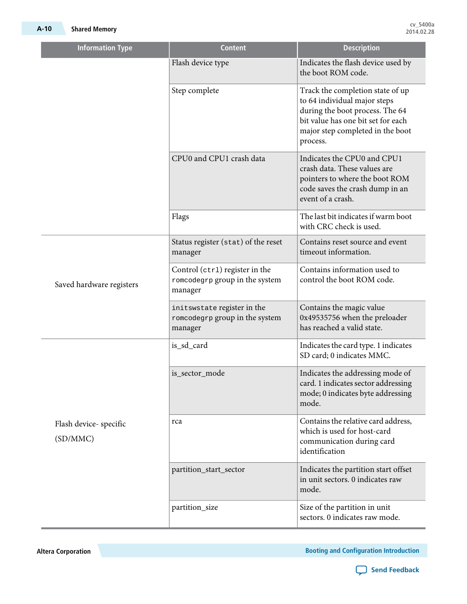| <b>Information Type</b>           | <b>Content</b>                                                              | <b>Description</b>                                                                                                                                                                        |
|-----------------------------------|-----------------------------------------------------------------------------|-------------------------------------------------------------------------------------------------------------------------------------------------------------------------------------------|
|                                   | Flash device type                                                           | Indicates the flash device used by<br>the boot ROM code.                                                                                                                                  |
|                                   | Step complete                                                               | Track the completion state of up<br>to 64 individual major steps<br>during the boot process. The 64<br>bit value has one bit set for each<br>major step completed in the boot<br>process. |
|                                   | CPU0 and CPU1 crash data                                                    | Indicates the CPU0 and CPU1<br>crash data. These values are<br>pointers to where the boot ROM<br>code saves the crash dump in an<br>event of a crash.                                     |
|                                   | Flags                                                                       | The last bit indicates if warm boot<br>with CRC check is used.                                                                                                                            |
| Saved hardware registers          | Status register (stat) of the reset<br>manager                              | Contains reset source and event<br>timeout information.                                                                                                                                   |
|                                   | Control (ctr1) register in the<br>romcodegrp group in the system<br>manager | Contains information used to<br>control the boot ROM code.                                                                                                                                |
|                                   | initswstate register in the<br>romcodegrp group in the system<br>manager    | Contains the magic value<br>0x49535756 when the preloader<br>has reached a valid state.                                                                                                   |
|                                   | is_sd_card                                                                  | Indicates the card type. 1 indicates<br>SD card; 0 indicates MMC.                                                                                                                         |
|                                   | is_sector_mode                                                              | Indicates the addressing mode of<br>card. 1 indicates sector addressing<br>mode; 0 indicates byte addressing<br>mode.                                                                     |
| Flash device-specific<br>(SD/MMC) | rca                                                                         | Contains the relative card address,<br>which is used for host-card<br>communication during card<br>identification                                                                         |
|                                   | partition_start_sector                                                      | Indicates the partition start offset<br>in unit sectors. 0 indicates raw<br>mode.                                                                                                         |
|                                   | partition_size                                                              | Size of the partition in unit<br>sectors. 0 indicates raw mode.                                                                                                                           |

**Altera Corporation Booting and Configuration Introduction**

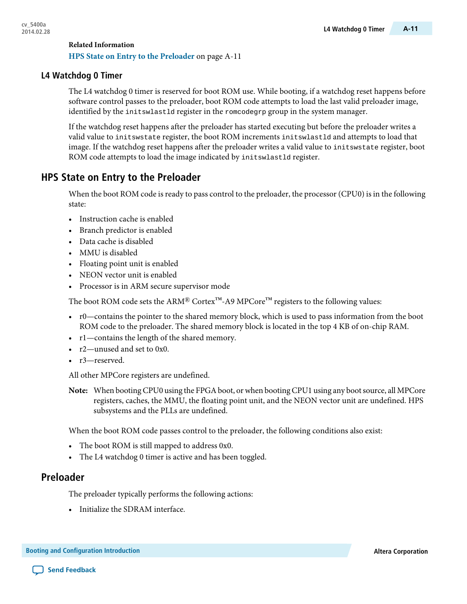#### **Related Information HPS State on Entry to the [Preloader](#page-10-0)** on page A-11

### **L4 Watchdog 0 Timer**

The L4 watchdog 0 timer is reserved for boot ROM use. While booting, if a watchdog reset happens before software control passes to the preloader, boot ROM code attempts to load the last valid preloader image, identified by the initswlastld register in the romcodegrp group in the system manager.

If the watchdog reset happens after the preloader has started executing but before the preloader writes a valid value to initswstate register, the boot ROM increments initswlastld and attempts to load that image. If the watchdog reset happens after the preloader writes a valid value to initswstate register, boot ROM code attempts to load the image indicated by initswlastld register.

## <span id="page-10-0"></span>**HPS State on Entry to the Preloader**

When the boot ROM code is ready to pass control to the preloader, the processor (CPU0) is in the following state:

- Instruction cache is enabled
- Branch predictor is enabled
- Data cache is disabled
- MMU is disabled
- Floating point unit is enabled
- NEON vector unit is enabled
- Processor is in ARM secure supervisor mode

The boot ROM code sets the ARM® Cortex<sup>™</sup>-A9 MPCore<sup>™</sup> registers to the following values:

- r0—contains the pointer to the shared memory block, which is used to pass information from the boot ROM code to the preloader. The shared memory block is located in the top 4 KB of on-chip RAM.
- r1—contains the length of the shared memory.
- r2—unused and set to 0x0.
- r3-reserved.

All other MPCore registers are undefined.

**Note:** When booting CPU0 using the FPGA boot, or when booting CPU1 using any boot source, all MPCore registers, caches, the MMU, the floating point unit, and the NEON vector unit are undefined. HPS subsystems and the PLLs are undefined.

When the boot ROM code passes control to the preloader, the following conditions also exist:

- The boot ROM is still mapped to address 0x0.
- The L4 watchdog 0 timer is active and has been toggled.

## **Preloader**

The preloader typically performs the following actions:

• Initialize the SDRAM interface.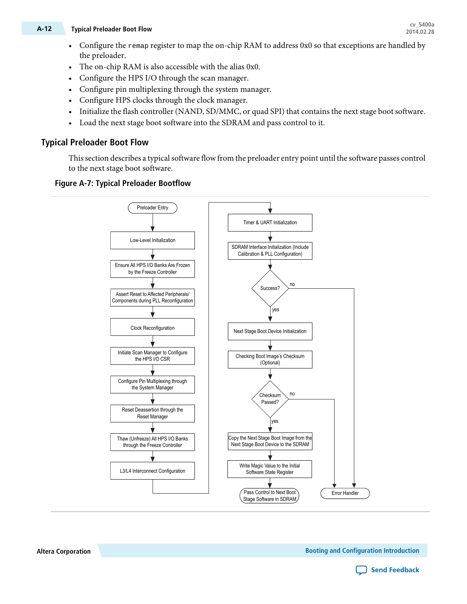## **cv\_5400a A-12 Typical Preloader Boot Flow 2014.02.28**

- Configure the remap register to map the on-chip RAM to address 0x0 so that exceptions are handled by the preloader.
- The on-chip RAM is also accessible with the alias 0x0.
- Configure the HPS I/O through the scan manager.
- Configure pin multiplexing through the system manager.
- Configure HPS clocks through the clock manager.
- Initialize the flash controller (NAND, SD/MMC, or quad SPI) that contains the next stage boot software.
- Load the next stage boot software into the SDRAM and pass control to it.

#### **Typical Preloader Boot Flow**

This section describes a typical software flow from the preloader entry point until the software passes control to the next stage boot software.





**Altera Corporation Booting and Configuration Introduction**

**Send [Feedback](mailto:TechDocFeedback@altera.com?subject=Feedback%20on%20Booting%20and%20Configuration%20Introduction%20(cv_5400a%202014.02.28)&body=We%20appreciate%20your%20feedback.%20In%20your%20comments,%20also%20specify%20the%20page%20number%20or%20paragraph.%20Thank%20you.)**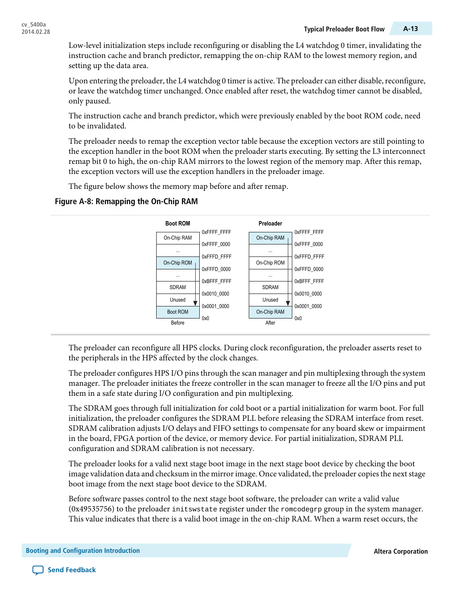Low-level initialization steps include reconfiguring or disabling the L4 watchdog 0 timer, invalidating the instruction cache and branch predictor, remapping the on-chip RAM to the lowest memory region, and setting up the data area.

Upon entering the preloader, the L4 watchdog 0 timer is active. The preloader can either disable, reconfigure, or leave the watchdog timer unchanged. Once enabled after reset, the watchdog timer cannot be disabled, only paused.

The instruction cache and branch predictor, which were previously enabled by the boot ROM code, need to be invalidated.

The preloader needs to remap the exception vector table because the exception vectors are still pointing to the exception handler in the boot ROM when the preloader starts executing. By setting the L3 interconnect remap bit 0 to high, the on-chip RAM mirrors to the lowest region of the memory map. After this remap, the exception vectors will use the exception handlers in the preloader image.

The figure below shows the memory map before and after remap.

#### **Figure A-8: Remapping the On-Chip RAM**



The preloader can reconfigure all HPS clocks. During clock reconfiguration, the preloader asserts reset to the peripherals in the HPS affected by the clock changes.

The preloader configures HPS I/O pins through the scan manager and pin multiplexing through the system manager. The preloader initiates the freeze controller in the scan manager to freeze all the I/O pins and put them in a safe state during I/O configuration and pin multiplexing.

The SDRAM goes through full initialization for cold boot or a partial initialization for warm boot. For full initialization, the preloader configures the SDRAM PLL before releasing the SDRAM interface from reset. SDRAM calibration adjusts I/O delays and FIFO settings to compensate for any board skew or impairment in the board, FPGA portion of the device, or memory device. For partial initialization, SDRAM PLL configuration and SDRAM calibration is not necessary.

The preloader looks for a valid next stage boot image in the next stage boot device by checking the boot image validation data and checksum in the mirror image. Once validated, the preloader copies the next stage boot image from the next stage boot device to the SDRAM.

Before software passes control to the next stage boot software, the preloader can write a valid value (0x49535756) to the preloader initswstate register under the romcodegrp group in the system manager. This value indicates that there is a valid boot image in the on-chip RAM. When a warm reset occurs, the

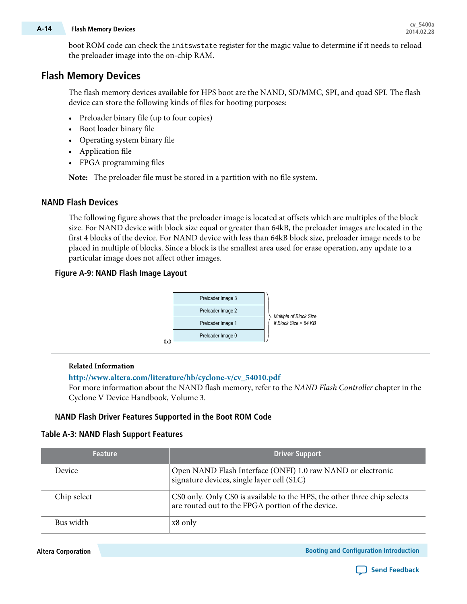## **cv\_5400a A-14 Flash Memory Devices 2014.02.28**

boot ROM code can check the initswstate register for the magic value to determine if it needs to reload the preloader image into the on-chip RAM.

## **Flash Memory Devices**

The flash memory devices available for HPS boot are the NAND, SD/MMC, SPI, and quad SPI. The flash device can store the following kinds of files for booting purposes:

- Preloader binary file (up to four copies)
- Boot loader binary file
- Operating system binary file
- Application file
- FPGA programming files

**Note:** The preloader file must be stored in a partition with no file system.

#### **NAND Flash Devices**

The following figure shows that the preloader image is located at offsets which are multiples of the block size. For NAND device with block size equal or greater than 64kB, the preloader images are located in the first 4 blocks of the device. For NAND device with less than 64kB block size, preloader image needs to be placed in multiple of blocks. Since a block is the smallest area used for erase operation, any update to a particular image does not affect other images.

#### **Figure A-9: NAND Flash Image Layout**



#### **Related Information**

#### **[http://www.altera.com/literature/hb/cyclone-v/cv\\_54010.pdf](http://www.altera.com/literature/hb/cyclone-v/cv_54010.pdf)**

For more information about the NAND flash memory, refer to the NAND Flash Controller chapter in the Cyclone V Device Handbook, Volume 3.

#### **NAND Flash Driver Features Supported in the Boot ROM Code**

#### **Table A-3: NAND Flash Support Features**

| <b>Feature</b> | <b>Driver Support</b>                                                                                                         |
|----------------|-------------------------------------------------------------------------------------------------------------------------------|
| Device         | Open NAND Flash Interface (ONFI) 1.0 raw NAND or electronic<br>signature devices, single layer cell (SLC)                     |
| Chip select    | CS0 only. Only CS0 is available to the HPS, the other three chip selects<br>are routed out to the FPGA portion of the device. |
| Bus width      | x8 only                                                                                                                       |

**Altera Corporation Booting and Configuration Introduction**

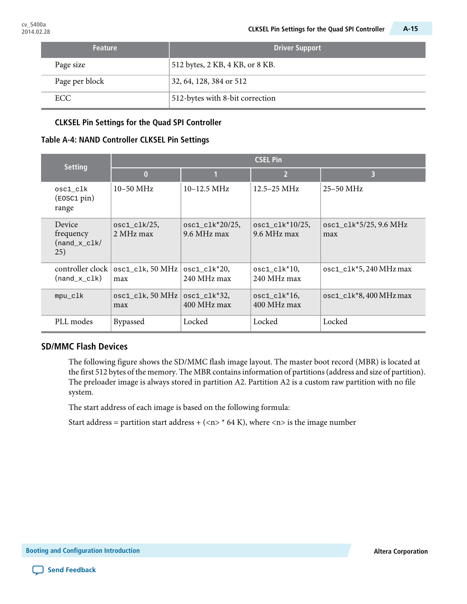| <b>Feature</b> | <b>Driver Support</b>           |
|----------------|---------------------------------|
| Page size      | 512 bytes, 2 KB, 4 KB, or 8 KB. |
| Page per block | 32, 64, 128, 384 or 512         |
| ECC.           | 512-bytes with 8-bit correction |

#### **CLKSEL Pin Settings for the Quad SPI Controller**

#### **Table A-4: NAND Controller CLKSEL Pin Settings**

| <b>Setting</b>                               | <b>CSEL Pin</b>              |                                   |                                   |                                                       |
|----------------------------------------------|------------------------------|-----------------------------------|-----------------------------------|-------------------------------------------------------|
|                                              | $\bf{0}$                     |                                   | $\overline{2}$                    | 3                                                     |
| osc1_clk<br>$(\text{EOSC1 pin})$<br>range    | $10-50$ MHz                  | $10-12.5 \text{ MHz}$             | $12.5 - 25 \text{ MHz}$           | $25-50$ MHz                                           |
| Device<br>frequency<br>$(nand_x_clk)$<br>25) | $osc1_c1k/25$ ,<br>2 MHz max | $osc1_c1k*20/25$ ,<br>9.6 MHz max | $osc1_c1k*10/25$ ,<br>9.6 MHz max | $osc1_c1k*5/25, 9.6 MHz$<br>max                       |
| controller clock<br>(nand_x_clk)             | $osc1_c$ lk, 50 MHz<br>max   | $osc1_c1k*20$ ,<br>240 MHz max    | $osc1_c1k*10$ ,<br>240 MHz max    | $\text{osc1\_clk*5,240}$ MHz max                      |
| mpu_clk                                      | $osc1_c$ lk, 50 MHz<br>max   | $osc1_c1k*32,$<br>400 MHz max     | $osc1_c1k*16$ ,<br>400 MHz max    | $\text{osc1}_{\text{clk}}$ <sup>*</sup> 8,400 MHz max |
| PLL modes                                    | <b>Bypassed</b>              | Locked                            | Locked                            | Locked                                                |

#### **SD/MMC Flash Devices**

The following figure shows the SD/MMC flash image layout. The master boot record (MBR) is located at the first 512 bytes of the memory. The MBR contains information of partitions (address and size of partition). The preloader image is always stored in partition A2. Partition A2 is a custom raw partition with no file system.

The start address of each image is based on the following formula:

Start address = partition start address +  $\left(\langle n \rangle * 64 \text{ K}\right)$ , where  $\langle n \rangle$  is the image number

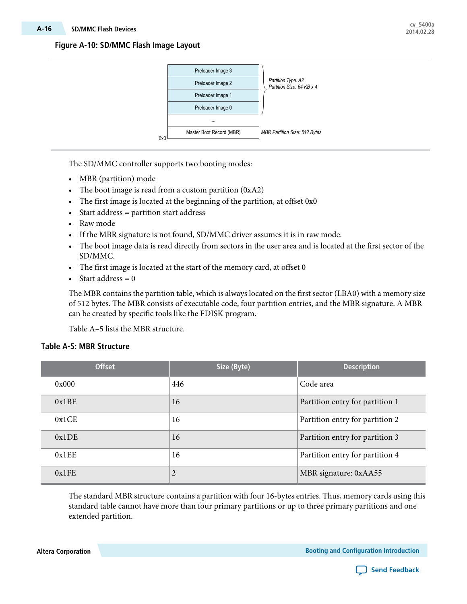#### **Figure A-10: SD/MMC Flash Image Layout**



The SD/MMC controller supports two booting modes:

- MBR (partition) mode
- The boot image is read from a custom partition (0xA2)
- The first image is located at the beginning of the partition, at offset 0x0
- Start address = partition start address
- Raw mode
- If the MBR signature is not found, SD/MMC driver assumes it is in raw mode.
- The boot image data is read directly from sectors in the user area and is located at the first sector of the SD/MMC.
- The first image is located at the start of the memory card, at offset 0
- Start address  $= 0$

The MBR contains the partition table, which is always located on the first sector (LBA0) with a memory size of 512 bytes. The MBR consists of executable code, four partition entries, and the MBR signature. A MBR can be created by specific tools like the FDISK program.

Table A–5 lists the MBR structure.

#### **Table A-5: MBR Structure**

| <b>Offset</b> | Size (Byte)    | <b>Description</b>              |
|---------------|----------------|---------------------------------|
| 0x000         | 446            | Code area                       |
| 0x1BE         | 16             | Partition entry for partition 1 |
| 0x1CE         | 16             | Partition entry for partition 2 |
| 0x1DE         | 16             | Partition entry for partition 3 |
| 0x1EE         | 16             | Partition entry for partition 4 |
| 0x1FE         | $\overline{2}$ | MBR signature: 0xAA55           |

The standard MBR structure contains a partition with four 16-bytes entries. Thus, memory cards using this standard table cannot have more than four primary partitions or up to three primary partitions and one extended partition.

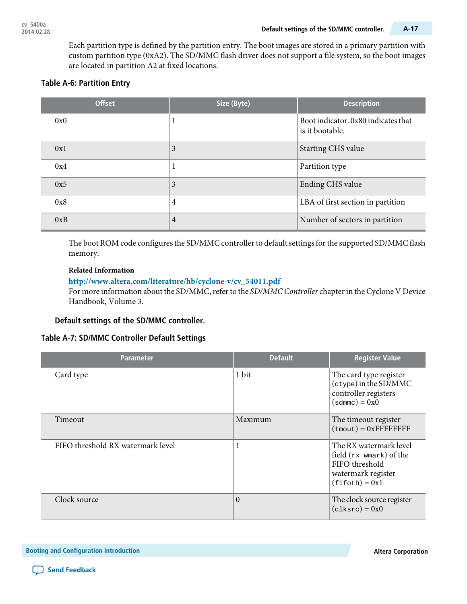Each partition type is defined by the partition entry. The boot images are stored in a primary partition with custom partition type (0xA2). The SD/MMC flash driver does not support a file system, so the boot images are located in partition A2 at fixed locations.

### **Table A-6: Partition Entry**

| <b>Offset</b> | Size (Byte)    | <b>Description</b>                                     |
|---------------|----------------|--------------------------------------------------------|
| 0x0           | $\bf{l}$       | Boot indicator. 0x80 indicates that<br>is it bootable. |
| 0x1           | 3              | Starting CHS value                                     |
| 0x4           | 1              | Partition type                                         |
| 0x5           | 3              | Ending CHS value                                       |
| 0x8           | $\overline{4}$ | LBA of first section in partition                      |
| 0xB           | 4              | Number of sectors in partition                         |

The boot ROM code configures the SD/MMC controller to default settings for the supported SD/MMC flash memory.

#### **Related Information**

#### **[http://www.altera.com/literature/hb/cyclone-v/cv\\_54011.pdf](http://www.altera.com/literature/hb/cyclone-v/cv_54011.pdf)**

For more information about the SD/MMC, refer to the SD/MMC Controller chapter in the Cyclone V Device Handbook, Volume 3.

#### **Default settings of the SD/MMC controller.**

#### **Table A-7: SD/MMC Controller Default Settings**

| <b>Parameter</b>                  | <b>Default</b> | <b>Register Value</b>                                                                                                    |
|-----------------------------------|----------------|--------------------------------------------------------------------------------------------------------------------------|
| Card type                         | 1 bit          | The card type register<br>$(ctype)$ in the SD/MMC<br>controller registers<br>$(sdmmc) = 0x0$                             |
| Timeout                           | Maximum        | The timeout register<br>$(t_{\text{mouth}}) = 0x$ FFFFFFFFF                                                              |
| FIFO threshold RX watermark level | 1              | The RX watermark level<br>field $(rx_{\text{wmark}})$ of the<br>FIFO threshold<br>watermark register<br>$(fifoth) = 0x1$ |
| Clock source                      | $\theta$       | The clock source register<br>$(c1ksrc) = 0x0$                                                                            |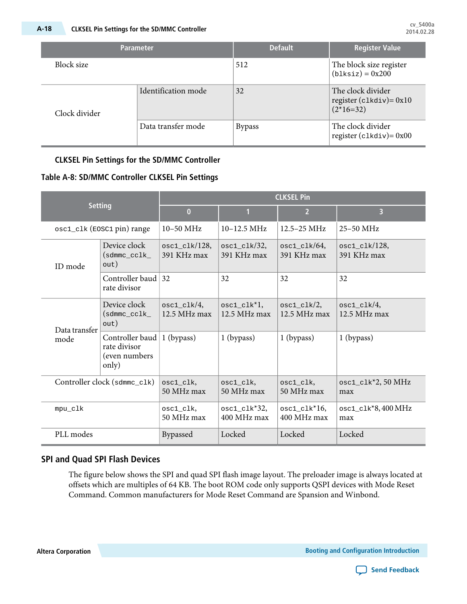|                                      | <b>Parameter</b>   | <b>Default</b>                                                   | <b>Register Value</b>                             |
|--------------------------------------|--------------------|------------------------------------------------------------------|---------------------------------------------------|
| Block size                           |                    | 512                                                              | The block size register<br>$(b1ksize) = 0x200$    |
| Identification mode<br>Clock divider | 32                 | The clock divider<br>register ( $clkdiv$ ) = 0x10<br>$(2*16=32)$ |                                                   |
|                                      | Data transfer mode | <b>Bypass</b>                                                    | The clock divider<br>register ( $clkdiv$ ) = 0x00 |

#### **CLKSEL Pin Settings for the SD/MMC Controller**

#### **Table A-8: SD/MMC Controller CLKSEL Pin Settings**

| <b>Setting</b>               |                                                            | <b>CLKSEL Pin</b>                |                                      |                                           |                                   |
|------------------------------|------------------------------------------------------------|----------------------------------|--------------------------------------|-------------------------------------------|-----------------------------------|
|                              |                                                            | $\overline{0}$                   | 1                                    | $\overline{2}$                            | 3                                 |
| osc1_c1k (E0SC1 pin) range   |                                                            | 10-50 MHz                        | $10-12.5 \text{ MHz}$                | $12.5 - 25 \text{ MHz}$                   | 25-50 MHz                         |
| ID mode                      | Device clock<br>$(sdmmc\_cclk$<br>out)                     | $osc1_c1k/128$ ,<br>391 KHz max  | $osc1$ $c$ lk $/32$ ,<br>391 KHz max | $osc1 \text{ c}$ k/ $64$ ,<br>391 KHz max | $osc1$ $c1k/128$ ,<br>391 KHz max |
|                              | Controller baud<br>rate divisor                            | 32                               | 32                                   | 32                                        | 32                                |
| Data transfer<br>mode        | Device clock<br>$(sdmmc\_cclk$<br>out)                     | $osc1_c1k/4$ ,<br>$12.5$ MHz max | $osc1_c1k^*1$ ,<br>$12.5$ MHz max    | $osc1_c1k/2$ ,<br>$12.5$ MHz max          | $osc1_c1k/4$ ,<br>$12.5$ MHz max  |
|                              | Controller baud<br>rate divisor<br>(even numbers)<br>only) | 1 (bypass)                       | $1$ (bypass)                         | $1$ (bypass)                              | $1$ (bypass)                      |
| Controller clock (sdmmc_clk) |                                                            | osc1_clk,<br>50 MHz max          | osc1_clk,<br>50 MHz max              | osc1_clk,<br>50 MHz max                   | $osc1_c1k^*2$ , 50 MHz<br>max     |
| mpu_clk                      |                                                            | osc1_clk,<br>50 MHz max          | $osc1_c1k*32$ ,<br>400 MHz max       | $osc1_c1k*16$ ,<br>400 MHz max            | $osc1_c1k*8,400 MHz$<br>max       |
| PLL modes                    |                                                            | Bypassed                         | Locked                               | Locked                                    | Locked                            |

#### **SPI and Quad SPI Flash Devices**

The figure below shows the SPI and quad SPI flash image layout. The preloader image is always located at offsets which are multiples of 64 KB. The boot ROM code only supports QSPI devices with Mode Reset Command. Common manufacturers for Mode Reset Command are Spansion and Winbond.

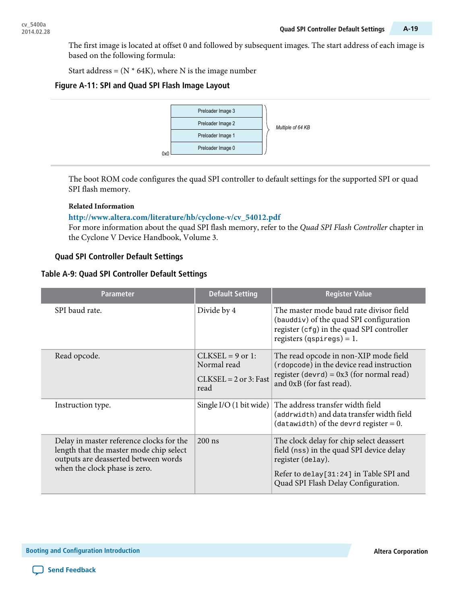The first image is located at offset 0 and followed by subsequent images. The start address of each image is based on the following formula:

Start address =  $(N * 64K)$ , where N is the image number

#### **Figure A-11: SPI and Quad SPI Flash Image Layout**



The boot ROM code configures the quad SPI controller to default settings for the supported SPI or quad SPI flash memory.

#### **Related Information**

#### **[http://www.altera.com/literature/hb/cyclone-v/cv\\_54012.pdf](http://www.altera.com/literature/hb/cyclone-v/cv_54012.pdf)**

For more information about the quad SPI flash memory, refer to the Quad SPI Flash Controller chapter in the Cyclone V Device Handbook, Volume 3.

#### **Quad SPI Controller Default Settings**

#### **Table A-9: Quad SPI Controller Default Settings**

| <b>Parameter</b>                                                                                                                                             | <b>Default Setting</b>                                               | <b>Register Value</b>                                                                                                                                                                       |
|--------------------------------------------------------------------------------------------------------------------------------------------------------------|----------------------------------------------------------------------|---------------------------------------------------------------------------------------------------------------------------------------------------------------------------------------------|
| SPI baud rate.                                                                                                                                               | Divide by 4                                                          | The master mode baud rate divisor field<br>(bauddiv) of the quad SPI configuration<br>register $(cfg)$ in the quad SPI controller<br>registers $(qspiregs) = 1$ .                           |
| Read opcode.                                                                                                                                                 | $CLKSEL = 9$ or 1:<br>Normal read<br>$CLKSEL = 2$ or 3: Fast<br>read | The read opcode in non-XIP mode field<br>(rdopcode) in the device read instruction<br>register (devrd) = $0x3$ (for normal read)<br>and 0xB (for fast read).                                |
| Instruction type.                                                                                                                                            | Single I/O $(1 \text{ bit wide})$                                    | The address transfer width field<br>(addrwidth) and data transfer width field<br>(datawidth) of the devrd register = $0$ .                                                                  |
| Delay in master reference clocks for the<br>length that the master mode chip select<br>outputs are deasserted between words<br>when the clock phase is zero. | $200$ ns                                                             | The clock delay for chip select deassert<br>field (nss) in the quad SPI device delay<br>register (delay).<br>Refer to delay [31:24] in Table SPI and<br>Quad SPI Flash Delay Configuration. |

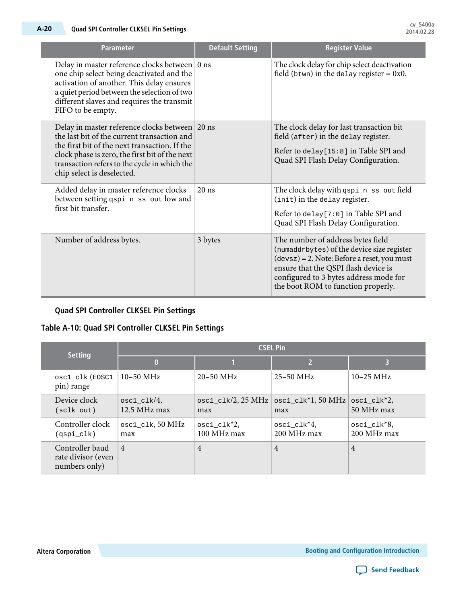| <b>Parameter</b>                                                                                                                                                                                                                                                               | <b>Default Setting</b> | <b>Register Value</b>                                                                                                                                                                                                                                     |
|--------------------------------------------------------------------------------------------------------------------------------------------------------------------------------------------------------------------------------------------------------------------------------|------------------------|-----------------------------------------------------------------------------------------------------------------------------------------------------------------------------------------------------------------------------------------------------------|
| Delay in master reference clocks between   0 ns<br>one chip select being deactivated and the<br>activation of another. This delay ensures<br>a quiet period between the selection of two<br>different slaves and requires the transmit<br>FIFO to be empty.                    |                        | The clock delay for chip select deactivation<br>field (btwn) in the delay register = $0x0$ .                                                                                                                                                              |
| Delay in master reference clocks between 20 ns<br>the last bit of the current transaction and<br>the first bit of the next transaction. If the<br>clock phase is zero, the first bit of the next<br>transaction refers to the cycle in which the<br>chip select is deselected. |                        | The clock delay for last transaction bit<br>field (after) in the delay register.<br>Refer to delay[15:8] in Table SPI and<br>Quad SPI Flash Delay Configuration.                                                                                          |
| Added delay in master reference clocks<br>between setting qspi_n_ss_out low and<br>first bit transfer.                                                                                                                                                                         | $20$ ns                | The clock delay with qspi_n_ss_out field<br>(init) in the delay register.<br>Refer to delay [7:0] in Table SPI and<br>Quad SPI Flash Delay Configuration.                                                                                                 |
| Number of address bytes.                                                                                                                                                                                                                                                       | 3 bytes                | The number of address bytes field<br>(numaddrbytes) of the device size register<br>$(devsz) = 2$ . Note: Before a reset, you must<br>ensure that the QSPI flash device is<br>configured to 3 bytes address mode for<br>the boot ROM to function properly. |

#### **Quad SPI Controller CLKSEL Pin Settings**

### **Table A-10: Quad SPI Controller CLKSEL Pin Settings**

| <b>Setting</b>                                         | <b>CSEL Pin</b>                        |                                         |                                     |                                |  |
|--------------------------------------------------------|----------------------------------------|-----------------------------------------|-------------------------------------|--------------------------------|--|
|                                                        | $\bf{0}$                               |                                         | 2                                   | B                              |  |
| osc1_clk(EOSC1<br>pin) range                           | $10-50$ MHz                            | $20 - 50$ MHz                           | $25 - 50$ MHz                       | $10-25 \text{ MHz}$            |  |
| Device clock<br>(sclk out)                             | $osc1$ $c$ l $k/4$ ,<br>$12.5$ MHz max | $osc1$ <sub>clk</sub> /2, 25 MHz<br>max | $\text{osc1\_clk*1, 50 MHz}$<br>max | $osc1_c1k^*2$ ,<br>50 MHz max  |  |
| Controller clock<br>(qspi_clk)                         | $osc1_c$ lk, 50 MHz<br>max             | $osc1_c1k^*2$ ,<br>100 MHz max          | $osc1_c1k^*4$ ,<br>200 MHz max      | $osc1_c1k^*8$ ,<br>200 MHz max |  |
| Controller baud<br>rate divisor (even<br>numbers only) | $\overline{4}$                         | $\overline{4}$                          | $\overline{4}$                      | $\overline{4}$                 |  |

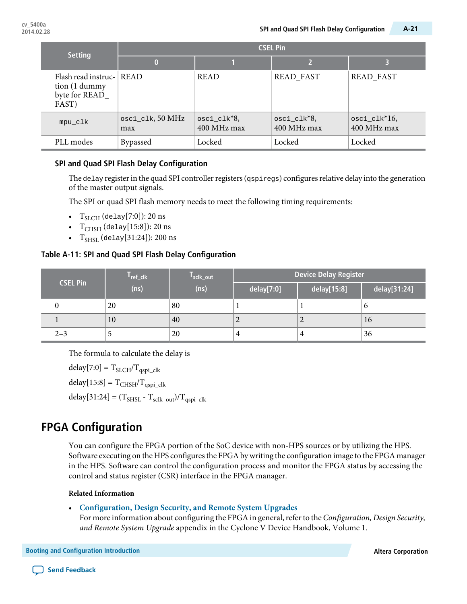| <b>Setting</b>                                                  | <b>CSEL Pin</b>            |                                |                                |                                |  |
|-----------------------------------------------------------------|----------------------------|--------------------------------|--------------------------------|--------------------------------|--|
|                                                                 | 0                          |                                | 12                             |                                |  |
| Flash read instruc-<br>tion (1 dummy<br>byte for READ_<br>FAST) | <b>READ</b>                | <b>READ</b>                    | READ_FAST                      | <b>READ_FAST</b>               |  |
| mpu_clk                                                         | $osc1_c$ lk, 50 MHz<br>max | $osc1_c1k^*8$ ,<br>400 MHz max | $osc1_c1k^*8$ ,<br>400 MHz max | $osc1_c1k*16$ ,<br>400 MHz max |  |
| PLL modes                                                       | <b>Bypassed</b>            | Locked                         | Locked                         | Locked                         |  |

#### **SPI and Quad SPI Flash Delay Configuration**

The delay register in the quad SPI controller registers ( $qspiregs)$  configures relative delay into the generation of the master output signals.

The SPI or quad SPI flash memory needs to meet the following timing requirements:

- $T_{SLCH}$  (delay[7:0]): 20 ns
- $T_{CHSH}$  (delay[15:8]): 20 ns
- $T_{SHSL}$  (delay[31:24]): 200 ns

#### **Table A-11: SPI and Quad SPI Flash Delay Configuration**

| <b>CSEL Pin</b> | $I_{ref\_clk}$ | T <sub>sclk_out</sub> | <b>Device Delay Register</b> |                |              |
|-----------------|----------------|-----------------------|------------------------------|----------------|--------------|
|                 | (ns)           | (ns)                  | delay[7:0]                   | delay[15:8]    | delay[31:24] |
|                 | 20             | 80                    |                              |                | O            |
|                 | 10             | 40                    | 2                            | $\overline{ }$ | 16           |
| $2 - 3$         |                | 20                    | 4                            | 4              | 36           |

The formula to calculate the delay is

 $delay[7:0] = T_{SLCH}/T_{qspi\_clk}$  $delay[15:8] = T<sub>CHSH</sub>/T<sub>qspi-clk</sub>$  $delay[31:24] = (T<sub>SHSL</sub> - T<sub>sclk_out</sub>)/T<sub>qspi_clk</sub>$ 

## **FPGA Configuration**

You can configure the FPGA portion of the SoC device with non-HPS sources or by utilizing the HPS. Software executing on the HPS configures the FPGA by writing the configuration image to the FPGA manager in the HPS. Software can control the configuration process and monitor the FPGA status by accessing the control and status register (CSR) interface in the FPGA manager.

#### **Related Information**

#### • **[Configuration,](http://www.altera.com/literature/hb/cyclone-v/cv_52007.pdf) Design Security, and Remote System Upgrades**

For more information about configuring the FPGA in general, refer to the *Configuration*, Design Security, and Remote System Upgrade appendix in the Cyclone V Device Handbook, Volume 1.

**Booting** and Configuration Introduction **Altera** Corporation **Altera** Corporation **Altera Corporation** 

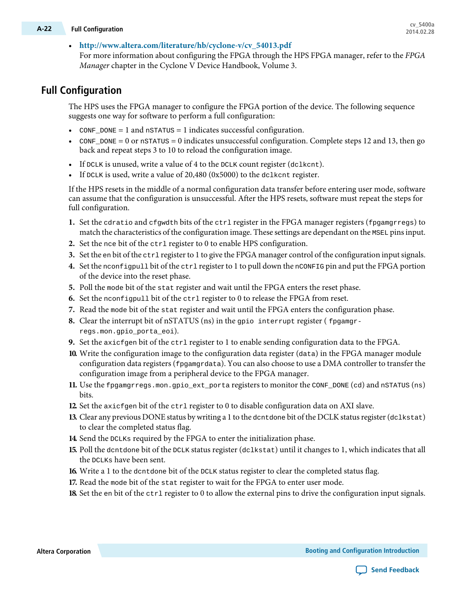## **cv\_5400a A-22 Full Configuration 2014.02.28**

#### • **[http://www.altera.com/literature/hb/cyclone-v/cv\\_54013.pdf](http://www.altera.com/literature/hb/cyclone-v/cv_54013.pdf)**

For more information about configuring the FPGA through the HPS FPGA manager, refer to the FPGA Manager chapter in the Cyclone V Device Handbook, Volume 3.

## **Full Configuration**

The HPS uses the FPGA manager to configure the FPGA portion of the device. The following sequence suggests one way for software to perform a full configuration:

- CONF  $_D$ DONE = 1 and nSTATUS = 1 indicates successful configuration.
- CONF\_DONE = 0 or nSTATUS = 0 indicates unsuccessful configuration. Complete steps 12 and 13, then go back and repeat steps 3 to 10 to reload the configuration image.
- If  $DCLK$  is unused, write a value of 4 to the  $DCLK$  count register (dclkcnt).
- If DCLK is used, write a value of  $20,480$  (0x5000) to the dclkcnt register.

If the HPS resets in the middle of a normal configuration data transfer before entering user mode, software can assume that the configuration is unsuccessful. After the HPS resets, software must repeat the steps for full configuration.

- 1. Set the cdratio and cfgwdth bits of the ctrl register in the FPGA manager registers (fpgamgrregs) to match the characteristics of the configuration image. These settings are dependant on the MSEL pins input.
- **2.** Set the nce bit of the ctrl register to 0 to enable HPS configuration.
- **3.** Set the en bit of the ctrl register to 1 to give the FPGA manager control of the configuration input signals.
- **4.** Set the nconfigpull bit of the ctrl registerto 1 to pull down the nCONFIG pin and put the FPGA portion of the device into the reset phase.
- **5.** Poll the mode bit of the stat register and wait until the FPGA enters the reset phase.
- **6.** Set the nconfigpull bit of the ctrl register to 0 to release the FPGA from reset.
- **7.** Read the mode bit of the stat register and wait until the FPGA enters the configuration phase.
- **8.** Clear the interrupt bit of nSTATUS (ns) in the gpio interrupt register (fpgamgrregs.mon.gpio\_porta\_eoi).
- **9.** Set the axicfgen bit of the ctrl register to 1 to enable sending configuration data to the FPGA.
- **10.** Write the configuration image to the configuration data register (data) in the FPGA manager module configuration data registers ( $fpgamgrdata$ ). You can also choose to use a DMA controller to transfer the configuration image from a peripheral device to the FPGA manager.
- **11.** Use the fpgamgrregs.mon.gpio\_ext\_porta registers to monitor the CONF\_DONE (cd) and nSTATUS (ns) bits.
- **12.** Set the axicfgen bit of the ctrl register to 0 to disable configuration data on AXI slave.
- **13.** Clear any previous DONE status by writing a 1 to the dent done bit of the DCLK status register (dclkstat) to clear the completed status flag.
- **14.** Send the DCLKs required by the FPGA to enter the initialization phase.
- **15.** Poll the dcntdone bit of the DCLK status register (dclkstat) until it changes to 1, which indicates that all the DCLKs have been sent.
- **16.** Write a 1 to the dcntdone bit of the DCLK status register to clear the completed status flag.
- **17.** Read the mode bit of the stat register to wait for the FPGA to enter user mode.
- **18.** Set the en bit of the ctrl register to 0 to allow the external pins to drive the configuration input signals.



**Send [Feedback](mailto:TechDocFeedback@altera.com?subject=Feedback%20on%20Booting%20and%20Configuration%20Introduction%20(cv_5400a%202014.02.28)&body=We%20appreciate%20your%20feedback.%20In%20your%20comments,%20also%20specify%20the%20page%20number%20or%20paragraph.%20Thank%20you.)**